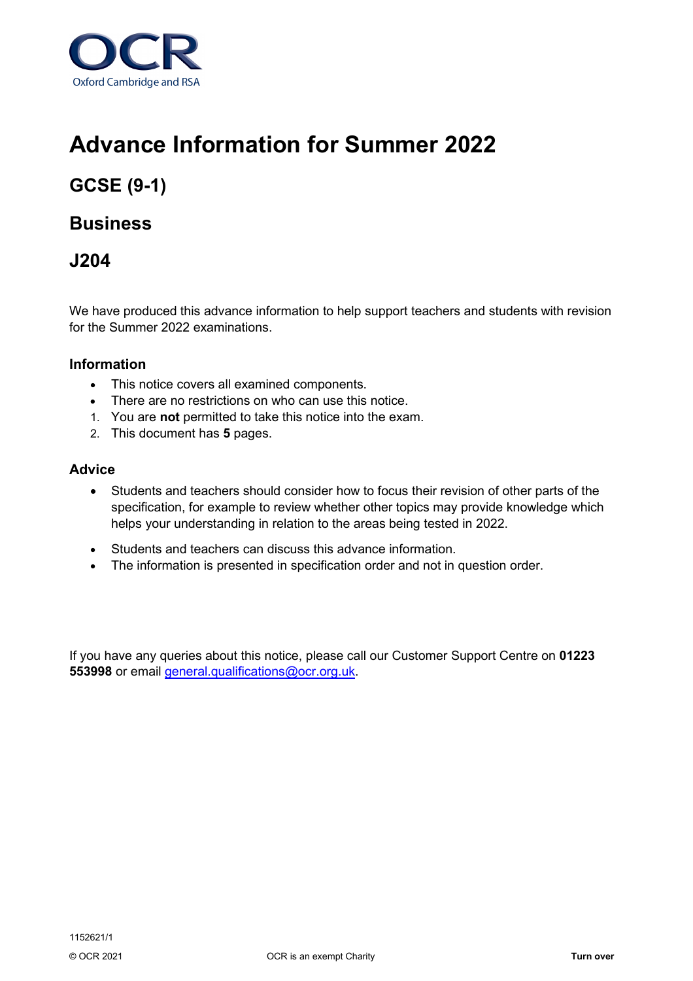

# **Advance Information for Summer 2022**

## **GCSE (9-1)**

### **Business**

### **J204**

We have produced this advance information to help support teachers and students with revision for the Summer 2022 examinations.

#### **Information**

- This notice covers all examined components.
- There are no restrictions on who can use this notice.
- 1. You are **not** permitted to take this notice into the exam.
- 2. This document has **5** pages.

#### **Advice**

- Students and teachers should consider how to focus their revision of other parts of the specification, for example to review whether other topics may provide knowledge which helps your understanding in relation to the areas being tested in 2022.
- Students and teachers can discuss this advance information.
- The information is presented in specification order and not in question order.

If you have any queries about this notice, please call our Customer Support Centre on **01223 553998** or email [general.qualifications@ocr.org.uk.](mailto:general.qualifications@ocr.org.uk)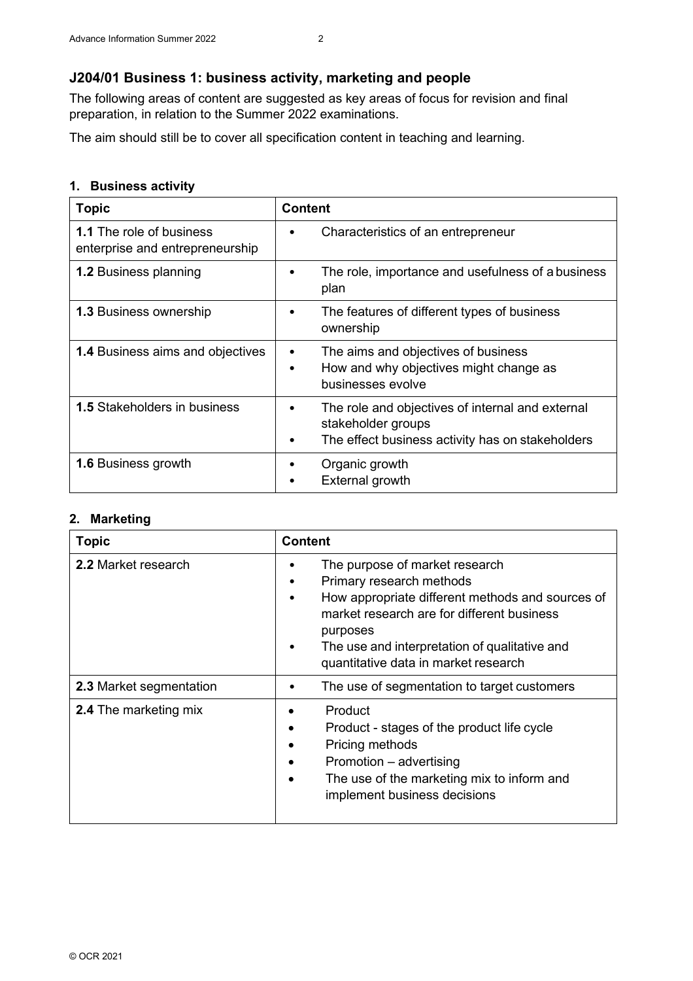#### **J204/01 Business 1: business activity, marketing and people**

The following areas of content are suggested as key areas of focus for revision and final preparation, in relation to the Summer 2022 examinations.

The aim should still be to cover all specification content in teaching and learning.

#### **1. Business activity**

| <b>Topic</b>                                                       | <b>Content</b>                                                                                                                       |
|--------------------------------------------------------------------|--------------------------------------------------------------------------------------------------------------------------------------|
| <b>1.1</b> The role of business<br>enterprise and entrepreneurship | Characteristics of an entrepreneur<br>٠                                                                                              |
| <b>1.2 Business planning</b>                                       | The role, importance and usefulness of a business<br>٠<br>plan                                                                       |
| <b>1.3 Business ownership</b>                                      | The features of different types of business<br>٠<br>ownership                                                                        |
| <b>1.4 Business aims and objectives</b>                            | The aims and objectives of business<br>٠<br>How and why objectives might change as<br>٠<br>businesses evolve                         |
| <b>1.5 Stakeholders in business</b>                                | The role and objectives of internal and external<br>٠<br>stakeholder groups<br>The effect business activity has on stakeholders<br>٠ |
| <b>1.6 Business growth</b>                                         | Organic growth<br><b>External growth</b><br>$\bullet$                                                                                |

#### **2. Marketing**

| <b>Topic</b>                 | <b>Content</b>                                                                                                                                                                                                                                                                                        |
|------------------------------|-------------------------------------------------------------------------------------------------------------------------------------------------------------------------------------------------------------------------------------------------------------------------------------------------------|
| 2.2 Market research          | The purpose of market research<br>٠<br>Primary research methods<br>٠<br>How appropriate different methods and sources of<br>$\bullet$<br>market research are for different business<br>purposes<br>The use and interpretation of qualitative and<br>$\bullet$<br>quantitative data in market research |
| 2.3 Market segmentation      | The use of segmentation to target customers<br>٠                                                                                                                                                                                                                                                      |
| <b>2.4 The marketing mix</b> | Product<br>Product - stages of the product life cycle<br>Pricing methods<br>Promotion – advertising<br>The use of the marketing mix to inform and<br>implement business decisions                                                                                                                     |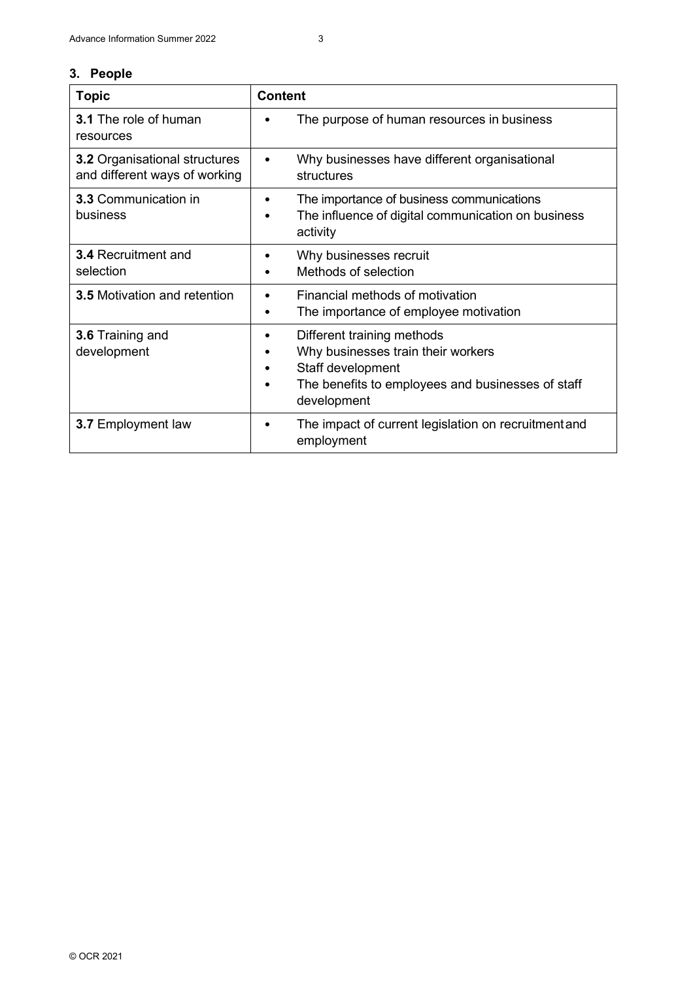#### **3. People**

| <b>Topic</b>                                                          | <b>Content</b>                                                                                                                                            |
|-----------------------------------------------------------------------|-----------------------------------------------------------------------------------------------------------------------------------------------------------|
| <b>3.1</b> The role of human<br>resources                             | The purpose of human resources in business                                                                                                                |
| <b>3.2 Organisational structures</b><br>and different ways of working | Why businesses have different organisational<br>structures                                                                                                |
| <b>3.3 Communication in</b><br>business                               | The importance of business communications<br>٠<br>The influence of digital communication on business<br>$\bullet$<br>activity                             |
| <b>3.4 Recruitment and</b><br>selection                               | Why businesses recruit<br>Methods of selection                                                                                                            |
| <b>3.5 Motivation and retention</b>                                   | Financial methods of motivation<br>The importance of employee motivation                                                                                  |
| 3.6 Training and<br>development                                       | Different training methods<br>Why businesses train their workers<br>Staff development<br>The benefits to employees and businesses of staff<br>development |
| <b>3.7 Employment law</b>                                             | The impact of current legislation on recruitment and<br>employment                                                                                        |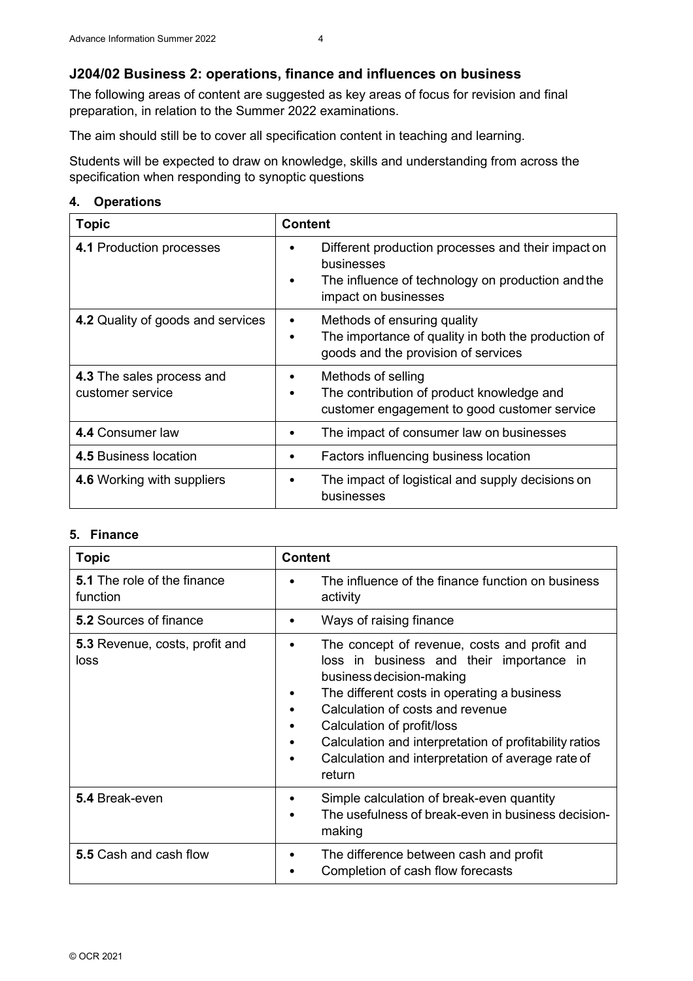#### **J204/02 Business 2: operations, finance and influences on business**

The following areas of content are suggested as key areas of focus for revision and final preparation, in relation to the Summer 2022 examinations.

The aim should still be to cover all specification content in teaching and learning.

Students will be expected to draw on knowledge, skills and understanding from across the specification when responding to synoptic questions

#### **4. Operations**

| <b>Topic</b>                                  | <b>Content</b>                                                                                                                                                  |
|-----------------------------------------------|-----------------------------------------------------------------------------------------------------------------------------------------------------------------|
| 4.1 Production processes                      | Different production processes and their impact on<br>٠<br>businesses<br>The influence of technology on production and the<br>$\bullet$<br>impact on businesses |
| 4.2 Quality of goods and services             | Methods of ensuring quality<br>$\bullet$<br>The importance of quality in both the production of<br>$\bullet$<br>goods and the provision of services             |
| 4.3 The sales process and<br>customer service | Methods of selling<br>٠<br>The contribution of product knowledge and<br>$\bullet$<br>customer engagement to good customer service                               |
| 4.4 Consumer law                              | The impact of consumer law on businesses<br>٠                                                                                                                   |
| <b>4.5 Business location</b>                  | Factors influencing business location<br>٠                                                                                                                      |
| 4.6 Working with suppliers                    | The impact of logistical and supply decisions on<br>٠<br>businesses                                                                                             |

#### **5. Finance**

| <b>Topic</b>                                   | <b>Content</b>                                                                                                                                                                                                                                                                                                                                                                                |
|------------------------------------------------|-----------------------------------------------------------------------------------------------------------------------------------------------------------------------------------------------------------------------------------------------------------------------------------------------------------------------------------------------------------------------------------------------|
| <b>5.1</b> The role of the finance<br>function | The influence of the finance function on business<br>activity                                                                                                                                                                                                                                                                                                                                 |
| <b>5.2 Sources of finance</b>                  | Ways of raising finance<br>٠                                                                                                                                                                                                                                                                                                                                                                  |
| <b>5.3</b> Revenue, costs, profit and<br>loss  | The concept of revenue, costs and profit and<br>$\bullet$<br>loss in business and their importance in<br>business decision-making<br>The different costs in operating a business<br>Calculation of costs and revenue<br>Calculation of profit/loss<br>Calculation and interpretation of profitability ratios<br>٠<br>Calculation and interpretation of average rate of<br>$\bullet$<br>return |
| 5.4 Break-even                                 | Simple calculation of break-even quantity<br>٠<br>The usefulness of break-even in business decision-<br>making                                                                                                                                                                                                                                                                                |
| 5.5 Cash and cash flow                         | The difference between cash and profit<br>٠<br>Completion of cash flow forecasts                                                                                                                                                                                                                                                                                                              |